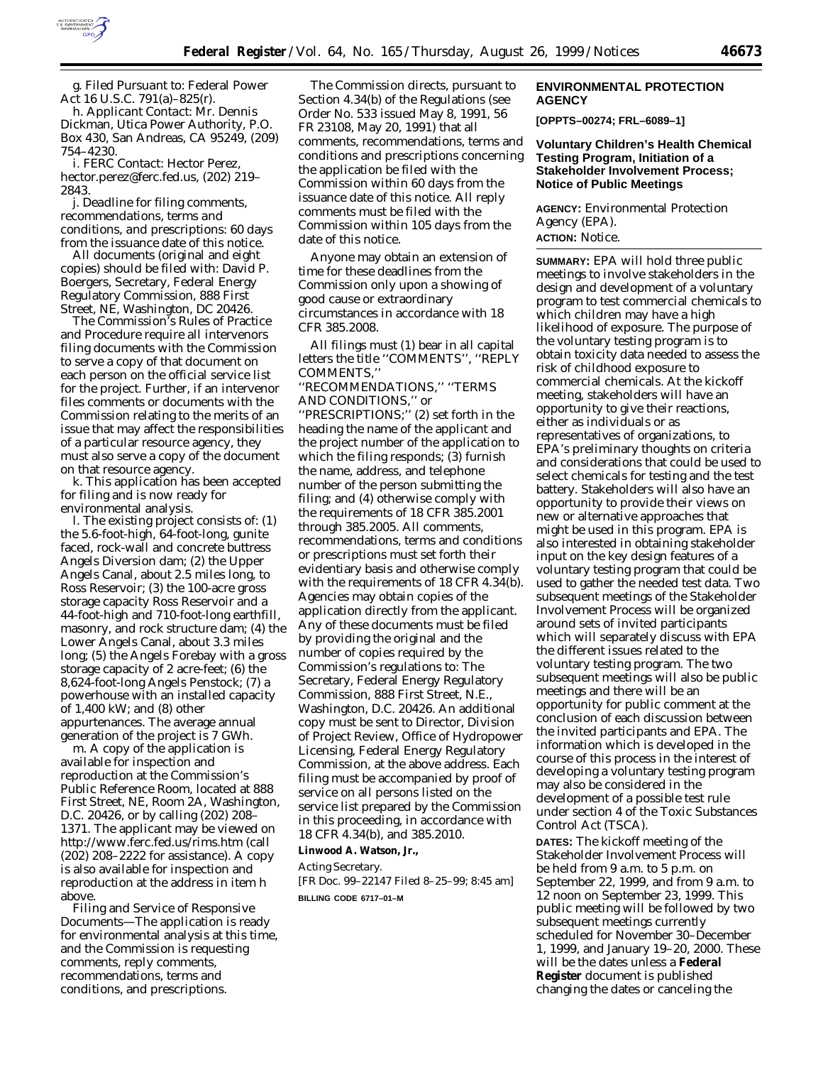

g. *Filed Pursuant to:* Federal Power Act 16 U.S.C. 791(a)–825(r).

h. *Applicant Contact:* Mr. Dennis Dickman, Utica Power Authority, P.O. Box 430, San Andreas, CA 95249, (209) 754–4230.

i. *FERC Contact:* Hector Perez, hector.perez@ferc.fed.us, (202) 219– 2843.

j. *Deadline for filing comments, recommendations, terms and conditions, and prescriptions:* 60 days from the issuance date of this notice.

All documents (original and eight copies) should be filed with: David P. Boergers, Secretary, Federal Energy Regulatory Commission, 888 First Street, NE, Washington, DC 20426.

The Commission's Rules of Practice and Procedure require all intervenors filing documents with the Commission to serve a copy of that document on each person on the official service list for the project. Further, if an intervenor files comments or documents with the Commission relating to the merits of an issue that may affect the responsibilities of a particular resource agency, they must also serve a copy of the document on that resource agency.

k. This application has been accepted for filing and is now ready for environmental analysis.

l. The existing project consists of: (1) the 5.6-foot-high, 64-foot-long, gunite faced, rock-wall and concrete buttress Angels Diversion dam; (2) the Upper Angels Canal, about 2.5 miles long, to Ross Reservoir; (3) the 100-acre gross storage capacity Ross Reservoir and a 44-foot-high and 710-foot-long earthfill, masonry, and rock structure dam; (4) the Lower Angels Canal, about 3.3 miles long; (5) the Angels Forebay with a gross storage capacity of 2 acre-feet; (6) the 8,624-foot-long Angels Penstock; (7) a powerhouse with an installed capacity of 1,400 kW; and (8) other appurtenances. The average annual generation of the project is 7 GWh.

m. A copy of the application is available for inspection and reproduction at the Commission's Public Reference Room, located at 888 First Street, NE, Room 2A, Washington, D.C. 20426, or by calling (202) 208– 1371. The applicant may be viewed on http://www.ferc.fed.us/rims.htm (call (202) 208–2222 for assistance). A copy is also available for inspection and reproduction at the address in item h above.

Filing and Service of Responsive Documents—The application is ready for environmental analysis at this time, and the Commission is requesting comments, reply comments, recommendations, terms and conditions, and prescriptions.

The Commission directs, pursuant to Section 4.34(b) of the Regulations (see Order No. 533 issued May 8, 1991, 56 FR 23108, May 20, 1991) that all comments, recommendations, terms and conditions and prescriptions concerning the application be filed with the Commission within 60 days from the issuance date of this notice. All reply comments must be filed with the Commission within 105 days from the date of this notice.

Anyone may obtain an extension of time for these deadlines from the Commission only upon a showing of good cause or extraordinary circumstances in accordance with 18 CFR 385.2008.

All filings must (1) bear in all capital letters the title ''COMMENTS'', ''REPLY COMMENTS,''

''RECOMMENDATIONS,'' ''TERMS AND CONDITIONS,'' or ''PRESCRIPTIONS;'' (2) set forth in the heading the name of the applicant and the project number of the application to which the filing responds; (3) furnish the name, address, and telephone number of the person submitting the filing; and (4) otherwise comply with the requirements of 18 CFR 385.2001 through 385.2005. All comments, recommendations, terms and conditions or prescriptions must set forth their evidentiary basis and otherwise comply with the requirements of 18 CFR 4.34(b). Agencies may obtain copies of the application directly from the applicant. Any of these documents must be filed by providing the original and the number of copies required by the Commission's regulations to: The Secretary, Federal Energy Regulatory Commission, 888 First Street, N.E., Washington, D.C. 20426. An additional copy must be sent to Director, Division of Project Review, Office of Hydropower Licensing, Federal Energy Regulatory Commission, at the above address. Each filing must be accompanied by proof of service on all persons listed on the service list prepared by the Commission in this proceeding, in accordance with 18 CFR 4.34(b), and 385.2010.

### **Linwood A. Watson, Jr.,**

*Acting Secretary.* [FR Doc. 99–22147 Filed 8–25–99; 8:45 am] **BILLING CODE 6717–01–M**

## **ENVIRONMENTAL PROTECTION AGENCY**

**[OPPTS–00274; FRL–6089–1]**

## **Voluntary Children's Health Chemical Testing Program, Initiation of a Stakeholder Involvement Process; Notice of Public Meetings**

**AGENCY:** Environmental Protection Agency (EPA). **ACTION:** Notice.

**SUMMARY:** EPA will hold three public meetings to involve stakeholders in the design and development of a voluntary program to test commercial chemicals to which children may have a high likelihood of exposure. The purpose of the voluntary testing program is to obtain toxicity data needed to assess the risk of childhood exposure to commercial chemicals. At the kickoff meeting, stakeholders will have an opportunity to give their reactions, either as individuals or as representatives of organizations, to EPA's preliminary thoughts on criteria and considerations that could be used to select chemicals for testing and the test battery. Stakeholders will also have an opportunity to provide their views on new or alternative approaches that might be used in this program. EPA is also interested in obtaining stakeholder input on the key design features of a voluntary testing program that could be used to gather the needed test data. Two subsequent meetings of the Stakeholder Involvement Process will be organized around sets of invited participants which will separately discuss with EPA the different issues related to the voluntary testing program. The two subsequent meetings will also be public meetings and there will be an opportunity for public comment at the conclusion of each discussion between the invited participants and EPA. The information which is developed in the course of this process in the interest of developing a voluntary testing program may also be considered in the development of a possible test rule under section 4 of the Toxic Substances Control Act (TSCA).

**DATES:** The kickoff meeting of the Stakeholder Involvement Process will be held from 9 a.m. to 5 p.m. on September 22, 1999, and from 9 a.m. to 12 noon on September 23, 1999. This public meeting will be followed by two subsequent meetings currently scheduled for November 30–December 1, 1999, and January 19–20, 2000. These will be the dates unless a **Federal Register** document is published changing the dates or canceling the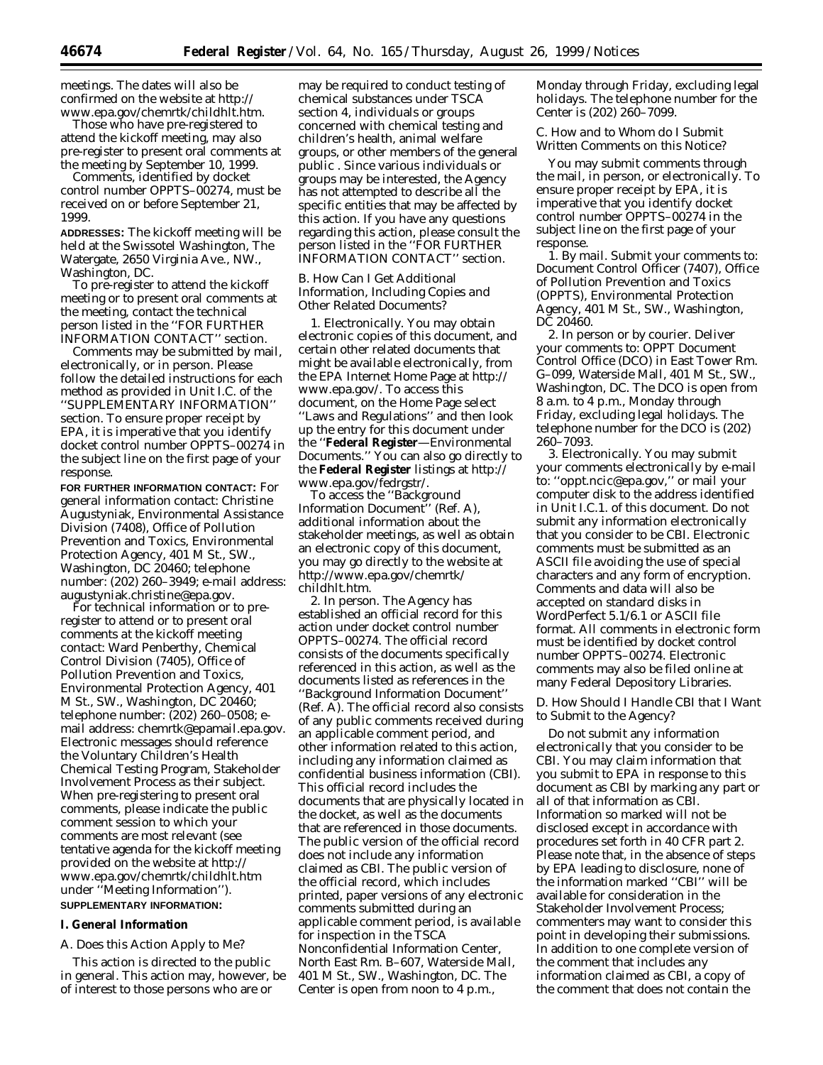meetings. The dates will also be confirmed on the website at http:// www.epa.gov/chemrtk/childhlt.htm.

Those who have pre-registered to attend the kickoff meeting, may also pre-register to present oral comments at the meeting by September 10, 1999.

Comments, identified by docket control number OPPTS–00274, must be received on or before September 21, 1999.

**ADDRESSES:** The kickoff meeting will be held at the Swissotel Washington, The Watergate, 2650 Virginia Ave., NW., Washington, DC.

To pre-register to attend the kickoff meeting or to present oral comments at the meeting, contact the technical person listed in the ''FOR FURTHER INFORMATION CONTACT'' section.

Comments may be submitted by mail, electronically, or in person. Please follow the detailed instructions for each method as provided in Unit I.C. of the ''SUPPLEMENTARY INFORMATION'' section. To ensure proper receipt by EPA, it is imperative that you identify docket control number OPPTS–00274 in the subject line on the first page of your response.

**FOR FURTHER INFORMATION CONTACT:** *For general information contact:* Christine Augustyniak, Environmental Assistance Division (7408), Office of Pollution Prevention and Toxics, Environmental Protection Agency, 401 M St., SW., Washington, DC 20460; telephone number: (202) 260–3949; e-mail address: augustyniak.christine@epa.gov.

*For technical information or to preregister to attend or to present oral comments at the kickoff meeting contact:* Ward Penberthy, Chemical Control Division (7405), Office of Pollution Prevention and Toxics, Environmental Protection Agency, 401 M St., SW., Washington, DC 20460; telephone number: (202) 260–0508; email address: chemrtk@epamail.epa.gov. Electronic messages should reference the Voluntary Children's Health Chemical Testing Program, Stakeholder Involvement Process as their subject. When pre-registering to present oral comments, please indicate the public comment session to which your comments are most relevant (see tentative agenda for the kickoff meeting provided on the website at http:// www.epa.gov/chemrtk/childhlt.htm under ''Meeting Information''). **SUPPLEMENTARY INFORMATION:**

#### **I. General Information**

### *A. Does this Action Apply to Me?*

This action is directed to the public in general. This action may, however, be of interest to those persons who are or

may be required to conduct testing of chemical substances under TSCA section 4, individuals or groups concerned with chemical testing and children's health, animal welfare groups, or other members of the general public . Since various individuals or groups may be interested, the Agency has not attempted to describe all the specific entities that may be affected by this action. If you have any questions regarding this action, please consult the person listed in the ''FOR FURTHER INFORMATION CONTACT'' section.

### *B. How Can I Get Additional Information, Including Copies and Other Related Documents?*

1. *Electronically.* You may obtain electronic copies of this document, and certain other related documents that might be available electronically, from the EPA Internet Home Page at http:// www.epa.gov/. To access this document, on the Home Page select ''Laws and Regulations'' and then look up the entry for this document under the ''**Federal Register**—Environmental Documents.'' You can also go directly to the **Federal Register** listings at http:// www.epa.gov/fedrgstr/.

To access the ''Background Information Document'' (Ref. A), additional information about the stakeholder meetings, as well as obtain an electronic copy of this document, you may go directly to the website at http://www.epa.gov/chemrtk/ childhlt.htm.

2. *In person.* The Agency has established an official record for this action under docket control number OPPTS–00274. The official record consists of the documents specifically referenced in this action, as well as the documents listed as references in the ''Background Information Document'' (Ref. A). The official record also consists of any public comments received during an applicable comment period, and other information related to this action, including any information claimed as confidential business information (CBI). This official record includes the documents that are physically located in the docket, as well as the documents that are referenced in those documents. The public version of the official record does not include any information claimed as CBI. The public version of the official record, which includes printed, paper versions of any electronic comments submitted during an applicable comment period, is available for inspection in the TSCA Nonconfidential Information Center, North East Rm. B–607, Waterside Mall, 401 M St., SW., Washington, DC. The Center is open from noon to 4 p.m.,

Monday through Friday, excluding legal holidays. The telephone number for the Center is (202) 260–7099.

# *C. How and to Whom do I Submit Written Comments on this Notice?*

You may submit comments through the mail, in person, or electronically. To ensure proper receipt by EPA, it is imperative that you identify docket control number OPPTS–00274 in the subject line on the first page of your response.

1. *By mail.* Submit your comments to: Document Control Officer (7407), Office of Pollution Prevention and Toxics (OPPTS), Environmental Protection Agency, 401 M St., SW., Washington, DC 20460.

2. *In person or by courier.* Deliver your comments to: OPPT Document Control Office (DCO) in East Tower Rm. G–099, Waterside Mall, 401 M St., SW., Washington, DC. The DCO is open from 8 a.m. to 4 p.m., Monday through Friday, excluding legal holidays. The telephone number for the DCO is (202) 260–7093.

3. *Electronically.* You may submit your comments electronically by e-mail to: ''oppt.ncic@epa.gov,'' or mail your computer disk to the address identified in Unit I.C.1. of this document. Do not submit any information electronically that you consider to be CBI. Electronic comments must be submitted as an ASCII file avoiding the use of special characters and any form of encryption. Comments and data will also be accepted on standard disks in WordPerfect 5.1/6.1 or ASCII file format. All comments in electronic form must be identified by docket control number OPPTS–00274. Electronic comments may also be filed online at many Federal Depository Libraries.

### *D. How Should I Handle CBI that I Want to Submit to the Agency?*

Do not submit any information electronically that you consider to be CBI. You may claim information that you submit to EPA in response to this document as CBI by marking any part or all of that information as CBI. Information so marked will not be disclosed except in accordance with procedures set forth in 40 CFR part 2. Please note that, in the absence of steps by EPA leading to disclosure, none of the information marked ''CBI'' will be available for consideration in the Stakeholder Involvement Process; commenters may want to consider this point in developing their submissions. In addition to one complete version of the comment that includes any information claimed as CBI, a copy of the comment that does not contain the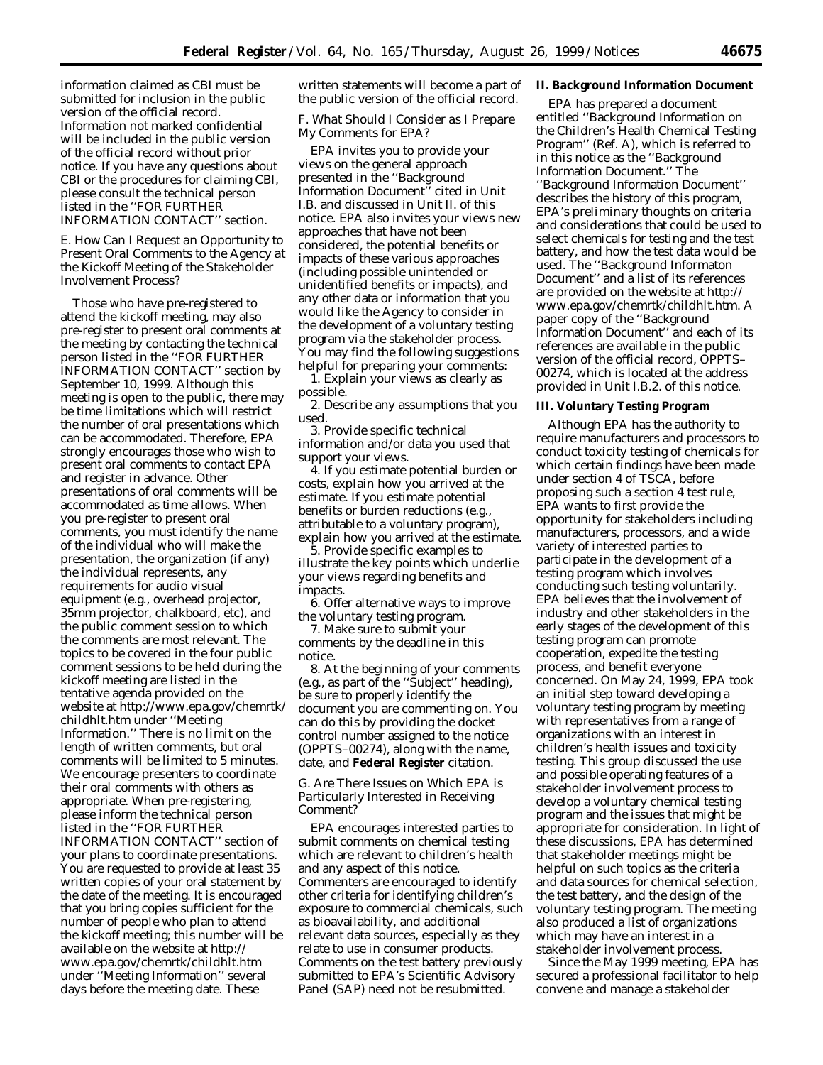information claimed as CBI must be submitted for inclusion in the public version of the official record. Information not marked confidential will be included in the public version of the official record without prior notice. If you have any questions about CBI or the procedures for claiming CBI, please consult the technical person listed in the ''FOR FURTHER INFORMATION CONTACT'' section.

## *E. How Can I Request an Opportunity to Present Oral Comments to the Agency at the Kickoff Meeting of the Stakeholder Involvement Process?*

Those who have pre-registered to attend the kickoff meeting, may also pre-register to present oral comments at the meeting by contacting the technical person listed in the ''FOR FURTHER INFORMATION CONTACT'' section by September 10, 1999. Although this meeting is open to the public, there may be time limitations which will restrict the number of oral presentations which can be accommodated. Therefore, EPA strongly encourages those who wish to present oral comments to contact EPA and register in advance. Other presentations of oral comments will be accommodated as time allows. When you pre-register to present oral comments, you must identify the name of the individual who will make the presentation, the organization (if any) the individual represents, any requirements for audio visual equipment (e.g., overhead projector, 35mm projector, chalkboard, etc), and the public comment session to which the comments are most relevant. The topics to be covered in the four public comment sessions to be held during the kickoff meeting are listed in the tentative agenda provided on the website at http://www.epa.gov/chemrtk/ childhlt.htm under ''Meeting Information.'' There is no limit on the length of written comments, but oral comments will be limited to 5 minutes. We encourage presenters to coordinate their oral comments with others as appropriate. When pre-registering, please inform the technical person listed in the ''FOR FURTHER INFORMATION CONTACT'' section of your plans to coordinate presentations. You are requested to provide at least 35 written copies of your oral statement by the date of the meeting. It is encouraged that you bring copies sufficient for the number of people who plan to attend the kickoff meeting; this number will be available on the website at http:// www.epa.gov/chemrtk/childhlt.htm under ''Meeting Information'' several days before the meeting date. These

written statements will become a part of the public version of the official record.

# *F. What Should I Consider as I Prepare My Comments for EPA?*

EPA invites you to provide your views on the general approach presented in the ''Background Information Document'' cited in Unit I.B. and discussed in Unit II. of this notice. EPA also invites your views new approaches that have not been considered, the potential benefits or impacts of these various approaches (including possible unintended or unidentified benefits or impacts), and any other data or information that you would like the Agency to consider in the development of a voluntary testing program via the stakeholder process. You may find the following suggestions helpful for preparing your comments:

1. Explain your views as clearly as possible.

2. Describe any assumptions that you used.

3. Provide specific technical information and/or data you used that support your views.

4. If you estimate potential burden or costs, explain how you arrived at the estimate. If you estimate potential benefits or burden reductions (e.g., attributable to a voluntary program), explain how you arrived at the estimate.

5. Provide specific examples to illustrate the key points which underlie your views regarding benefits and impacts.

6. Offer alternative ways to improve the voluntary testing program.

7. Make sure to submit your comments by the deadline in this notice.

8. At the beginning of your comments (e.g., as part of the ''Subject'' heading), be sure to properly identify the document you are commenting on. You can do this by providing the docket control number assigned to the notice (OPPTS–00274), along with the name, date, and **Federal Register** citation.

### *G. Are There Issues on Which EPA is Particularly Interested in Receiving Comment?*

EPA encourages interested parties to submit comments on chemical testing which are relevant to children's health and any aspect of this notice. Commenters are encouraged to identify other criteria for identifying children's exposure to commercial chemicals, such as bioavailability, and additional relevant data sources, especially as they relate to use in consumer products. Comments on the test battery previously submitted to EPA's Scientific Advisory Panel (SAP) need not be resubmitted.

## **II. Background Information Document**

EPA has prepared a document entitled ''Background Information on the Children's Health Chemical Testing Program'' (Ref. A), which is referred to in this notice as the ''Background Information Document.'' The ''Background Information Document'' describes the history of this program, EPA's preliminary thoughts on criteria and considerations that could be used to select chemicals for testing and the test battery, and how the test data would be used. The ''Background Informaton Document'' and a list of its references are provided on the website at http:// www.epa.gov/chemrtk/childhlt.htm. A paper copy of the ''Background Information Document'' and each of its references are available in the public version of the official record, OPPTS– 00274, which is located at the address provided in Unit I.B.2. of this notice.

#### **III. Voluntary Testing Program**

Although EPA has the authority to require manufacturers and processors to conduct toxicity testing of chemicals for which certain findings have been made under section 4 of TSCA, before proposing such a section 4 test rule, EPA wants to first provide the opportunity for stakeholders including manufacturers, processors, and a wide variety of interested parties to participate in the development of a testing program which involves conducting such testing voluntarily. EPA believes that the involvement of industry and other stakeholders in the early stages of the development of this testing program can promote cooperation, expedite the testing process, and benefit everyone concerned. On May 24, 1999, EPA took an initial step toward developing a voluntary testing program by meeting with representatives from a range of organizations with an interest in children's health issues and toxicity testing. This group discussed the use and possible operating features of a stakeholder involvement process to develop a voluntary chemical testing program and the issues that might be appropriate for consideration. In light of these discussions, EPA has determined that stakeholder meetings might be helpful on such topics as the criteria and data sources for chemical selection, the test battery, and the design of the voluntary testing program. The meeting also produced a list of organizations which may have an interest in a stakeholder involvement process.

Since the May 1999 meeting, EPA has secured a professional facilitator to help convene and manage a stakeholder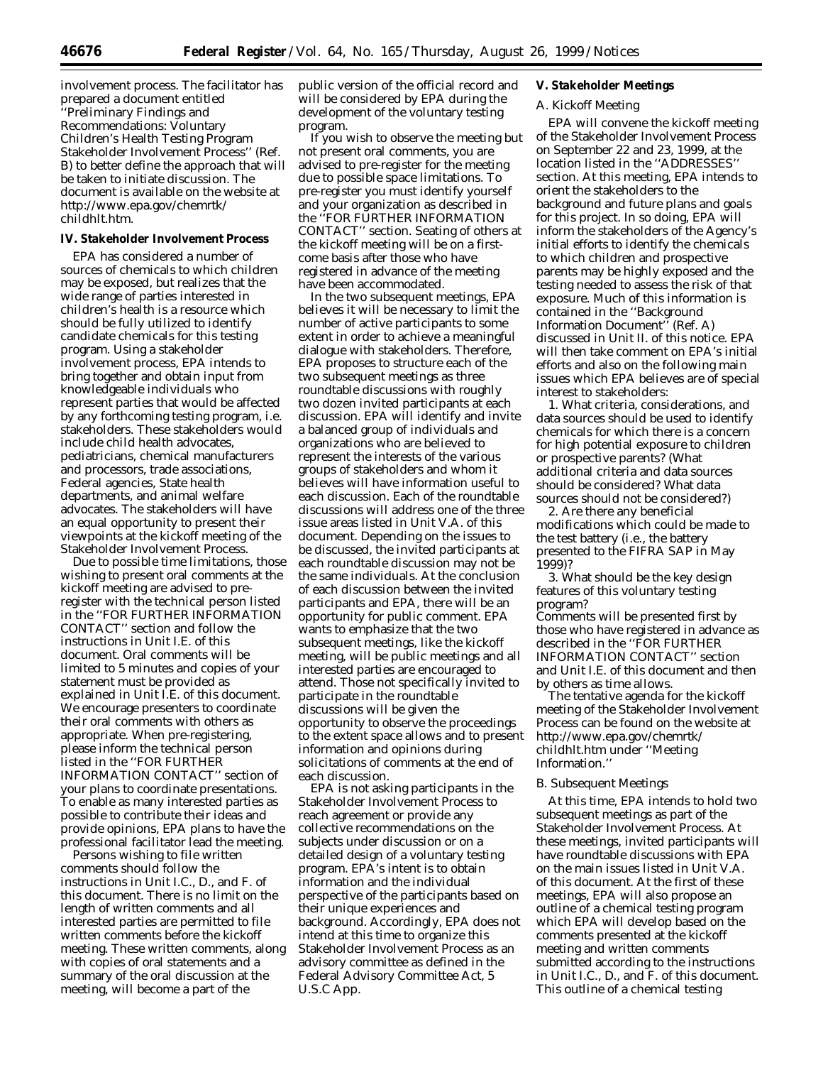involvement process. The facilitator has prepared a document entitled ''Preliminary Findings and Recommendations: Voluntary Children's Health Testing Program Stakeholder Involvement Process'' (Ref. B) to better define the approach that will be taken to initiate discussion. The document is available on the website at http://www.epa.gov/chemrtk/ childhlt.htm.

### **IV. Stakeholder Involvement Process**

EPA has considered a number of sources of chemicals to which children may be exposed, but realizes that the wide range of parties interested in children's health is a resource which should be fully utilized to identify candidate chemicals for this testing program. Using a stakeholder involvement process, EPA intends to bring together and obtain input from knowledgeable individuals who represent parties that would be affected by any forthcoming testing program, i.e. stakeholders. These stakeholders would include child health advocates, pediatricians, chemical manufacturers and processors, trade associations, Federal agencies, State health departments, and animal welfare advocates. The stakeholders will have an equal opportunity to present their viewpoints at the kickoff meeting of the Stakeholder Involvement Process.

Due to possible time limitations, those wishing to present oral comments at the kickoff meeting are advised to preregister with the technical person listed in the ''FOR FURTHER INFORMATION CONTACT'' section and follow the instructions in Unit I.E. of this document. Oral comments will be limited to 5 minutes and copies of your statement must be provided as explained in Unit I.E. of this document. We encourage presenters to coordinate their oral comments with others as appropriate. When pre-registering, please inform the technical person listed in the ''FOR FURTHER INFORMATION CONTACT'' section of your plans to coordinate presentations. To enable as many interested parties as possible to contribute their ideas and provide opinions, EPA plans to have the professional facilitator lead the meeting.

Persons wishing to file written comments should follow the instructions in Unit I.C., D., and F. of this document. There is no limit on the length of written comments and all interested parties are permitted to file written comments before the kickoff meeting. These written comments, along with copies of oral statements and a summary of the oral discussion at the meeting, will become a part of the

public version of the official record and will be considered by EPA during the development of the voluntary testing program.

If you wish to observe the meeting but not present oral comments, you are advised to pre-register for the meeting due to possible space limitations. To pre-register you must identify yourself and your organization as described in the ''FOR FURTHER INFORMATION CONTACT'' section. Seating of others at the kickoff meeting will be on a firstcome basis after those who have registered in advance of the meeting have been accommodated.

In the two subsequent meetings, EPA believes it will be necessary to limit the number of active participants to some extent in order to achieve a meaningful dialogue with stakeholders. Therefore, EPA proposes to structure each of the two subsequent meetings as three roundtable discussions with roughly two dozen invited participants at each discussion. EPA will identify and invite a balanced group of individuals and organizations who are believed to represent the interests of the various groups of stakeholders and whom it believes will have information useful to each discussion. Each of the roundtable discussions will address one of the three issue areas listed in Unit V.A. of this document. Depending on the issues to be discussed, the invited participants at each roundtable discussion may not be the same individuals. At the conclusion of each discussion between the invited participants and EPA, there will be an opportunity for public comment. EPA wants to emphasize that the two subsequent meetings, like the kickoff meeting, will be public meetings and all interested parties are encouraged to attend. Those not specifically invited to participate in the roundtable discussions will be given the opportunity to observe the proceedings to the extent space allows and to present information and opinions during solicitations of comments at the end of each discussion.

EPA is not asking participants in the Stakeholder Involvement Process to reach agreement or provide any collective recommendations on the subjects under discussion or on a detailed design of a voluntary testing program. EPA's intent is to obtain information and the individual perspective of the participants based on their unique experiences and background. Accordingly, EPA does not intend at this time to organize this Stakeholder Involvement Process as an advisory committee as defined in the Federal Advisory Committee Act, 5 U.S.C App.

# **V. Stakeholder Meetings**

# *A. Kickoff Meeting*

EPA will convene the kickoff meeting of the Stakeholder Involvement Process on September 22 and 23, 1999, at the location listed in the ''ADDRESSES'' section. At this meeting, EPA intends to orient the stakeholders to the background and future plans and goals for this project. In so doing, EPA will inform the stakeholders of the Agency's initial efforts to identify the chemicals to which children and prospective parents may be highly exposed and the testing needed to assess the risk of that exposure. Much of this information is contained in the ''Background Information Document'' (Ref. A) discussed in Unit II. of this notice. EPA will then take comment on EPA's initial efforts and also on the following main issues which EPA believes are of special interest to stakeholders:

1. What criteria, considerations, and data sources should be used to identify chemicals for which there is a concern for high potential exposure to children or prospective parents? (What additional criteria and data sources should be considered? What data sources should not be considered?)

2. Are there any beneficial modifications which could be made to the test battery (i.e., the battery presented to the FIFRA SAP in May 1999)?

3. What should be the key design features of this voluntary testing program?

Comments will be presented first by those who have registered in advance as described in the ''FOR FURTHER INFORMATION CONTACT'' section and Unit I.E. of this document and then by others as time allows.

The tentative agenda for the kickoff meeting of the Stakeholder Involvement Process can be found on the website at http://www.epa.gov/chemrtk/ childhlt.htm under ''Meeting Information.''

### *B. Subsequent Meetings*

At this time, EPA intends to hold two subsequent meetings as part of the Stakeholder Involvement Process. At these meetings, invited participants will have roundtable discussions with EPA on the main issues listed in Unit V.A. of this document. At the first of these meetings, EPA will also propose an outline of a chemical testing program which EPA will develop based on the comments presented at the kickoff meeting and written comments submitted according to the instructions in Unit I.C., D., and F. of this document. This outline of a chemical testing